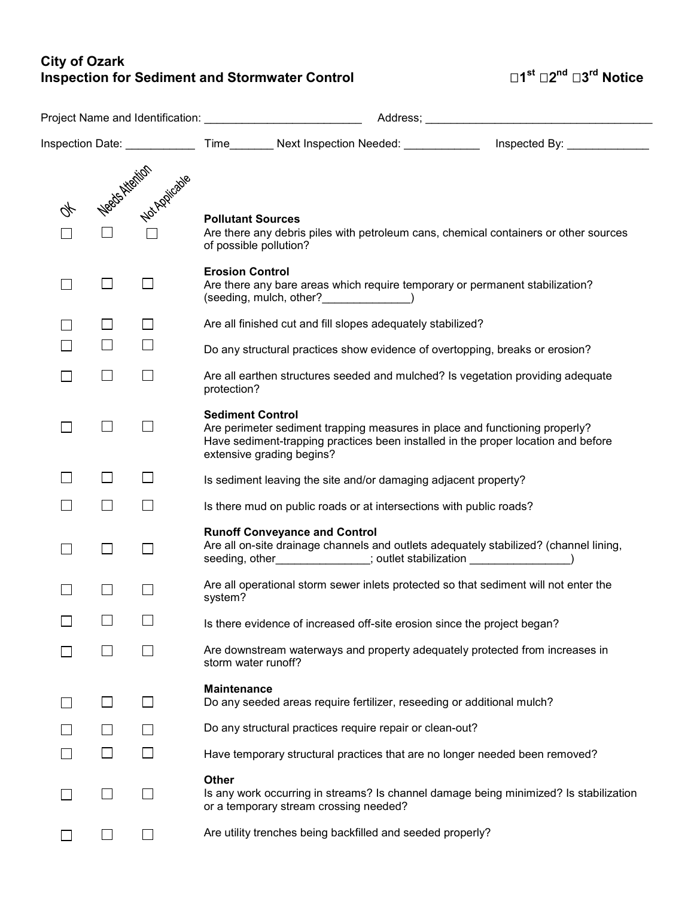## **City of Ozark Inspection for Sediment and Stormwater Control 1st** 2**nd 3rd Notice**

|  |                          |                          | Project Name and Identification: Name of the Manuscripture of the Manuscripture of the Manuscripture of the Ma |                                                                                                                  |  |                                                                                                                                                                  |
|--|--------------------------|--------------------------|----------------------------------------------------------------------------------------------------------------|------------------------------------------------------------------------------------------------------------------|--|------------------------------------------------------------------------------------------------------------------------------------------------------------------|
|  |                          |                          |                                                                                                                |                                                                                                                  |  | Inspection Date: _______________Time________Next Inspection Needed: _______________Inspected By: ____________                                                    |
|  |                          | Negas Nortigia           | <b>Pollutant Sources</b>                                                                                       | of possible pollution?                                                                                           |  | Are there any debris piles with petroleum cans, chemical containers or other sources                                                                             |
|  | $\Box$                   | └                        | <b>Erosion Control</b>                                                                                         | (seeding, mulch, other? )                                                                                        |  | Are there any bare areas which require temporary or permanent stabilization?                                                                                     |
|  | $\mathsf{I}$             | $\mathsf{I}$             | Are all finished cut and fill slopes adequately stabilized?                                                    |                                                                                                                  |  |                                                                                                                                                                  |
|  | $\overline{\phantom{0}}$ | $\Box$                   | Do any structural practices show evidence of overtopping, breaks or erosion?                                   |                                                                                                                  |  |                                                                                                                                                                  |
|  | $\Box$                   | $\Box$                   | protection?                                                                                                    |                                                                                                                  |  | Are all earthen structures seeded and mulched? Is vegetation providing adequate                                                                                  |
|  | $\Box$                   |                          | <b>Sediment Control</b>                                                                                        | extensive grading begins?                                                                                        |  | Are perimeter sediment trapping measures in place and functioning properly?<br>Have sediment-trapping practices been installed in the proper location and before |
|  | $\mathsf{L}$             | $\mathsf{L}$             |                                                                                                                | Is sediment leaving the site and/or damaging adjacent property?                                                  |  |                                                                                                                                                                  |
|  | П                        | $\Box$                   |                                                                                                                | Is there mud on public roads or at intersections with public roads?                                              |  |                                                                                                                                                                  |
|  | $\Box$                   | $\overline{\phantom{0}}$ |                                                                                                                | <b>Runoff Conveyance and Control</b><br>seeding, other______________; outlet stabilization ____________________) |  | Are all on-site drainage channels and outlets adequately stabilized? (channel lining,                                                                            |
|  |                          |                          | system?                                                                                                        |                                                                                                                  |  | Are all operational storm sewer inlets protected so that sediment will not enter the                                                                             |
|  | $\overline{\phantom{0}}$ | $\Box$                   |                                                                                                                | Is there evidence of increased off-site erosion since the project began?                                         |  |                                                                                                                                                                  |
|  | $\overline{\phantom{0}}$ |                          | storm water runoff?                                                                                            |                                                                                                                  |  | Are downstream waterways and property adequately protected from increases in                                                                                     |
|  | └                        | $\overline{\phantom{0}}$ | <b>Maintenance</b>                                                                                             | Do any seeded areas require fertilizer, reseeding or additional mulch?                                           |  |                                                                                                                                                                  |
|  |                          | $\Box$                   |                                                                                                                | Do any structural practices require repair or clean-out?                                                         |  |                                                                                                                                                                  |
|  | $\overline{\phantom{0}}$ | $\Box$                   |                                                                                                                |                                                                                                                  |  | Have temporary structural practices that are no longer needed been removed?                                                                                      |
|  | $\Box$                   |                          | <b>Other</b>                                                                                                   | or a temporary stream crossing needed?                                                                           |  | Is any work occurring in streams? Is channel damage being minimized? Is stabilization                                                                            |
|  |                          |                          |                                                                                                                | Are utility trenches being backfilled and seeded properly?                                                       |  |                                                                                                                                                                  |